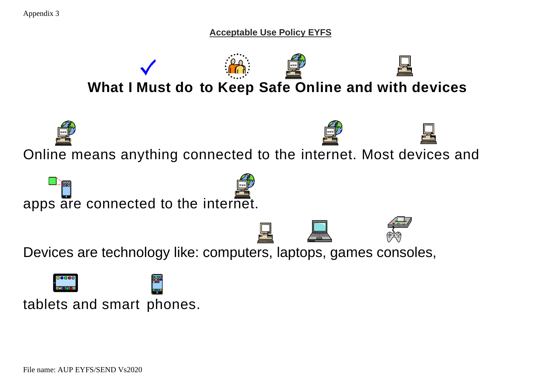**Acceptable Use Policy EYFS**



tablets and smart phones.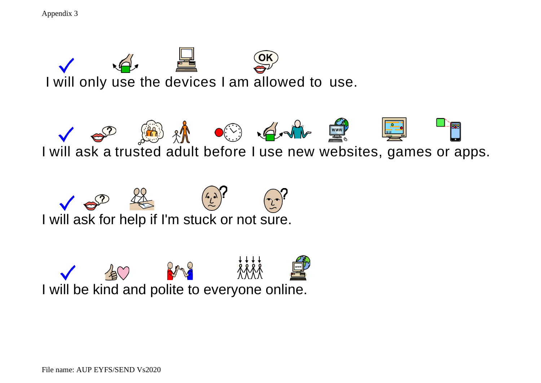Appendix 3





I will ask a trusted adult before I use new websites, games or apps.



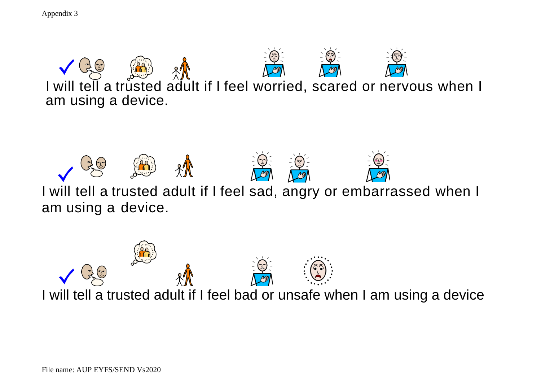Appendix 3





I will tell a trusted adult if I feel sad, angry or embarrassed when I am using a device.



File name: AUP EYFS/SEND Vs2020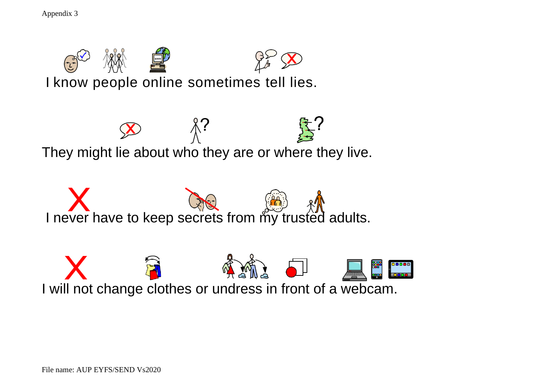Appendix 3









File name: AUP EYFS/SEND Vs2020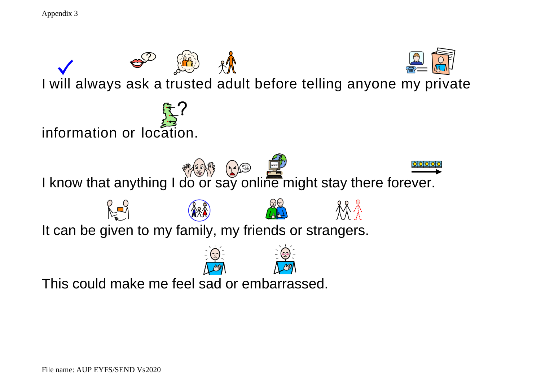```
Appendix 3
```